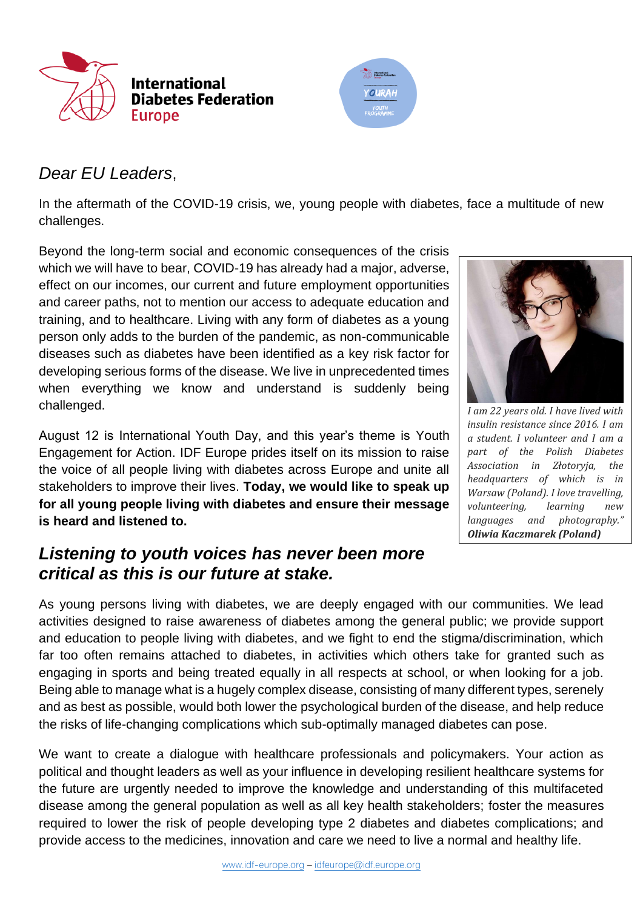



## *Dear EU Leaders*,

In the aftermath of the COVID-19 crisis, we, young people with diabetes, face a multitude of new challenges.

Beyond the long-term social and economic consequences of the crisis which we will have to bear, COVID-19 has already had a major, adverse, effect on our incomes, our current and future employment opportunities and career paths, not to mention our access to adequate education and training, and to healthcare. Living with any form of diabetes as a young person only adds to the burden of the pandemic, as non-communicable diseases such as diabetes have been identified as a key risk factor for developing serious forms of the disease. We live in unprecedented times when everything we know and understand is suddenly being challenged.

August 12 is International Youth Day, and this year's theme is Youth Engagement for Action. IDF Europe prides itself on its mission to raise the voice of all people living with diabetes across Europe and unite all stakeholders to improve their lives. **Today, we would like to speak up for all young people living with diabetes and ensure their message is heard and listened to.**

## *Listening to youth voices has never been more critical as this is our future at stake.*



*I am 22 years old. I have lived with insulin resistance since 2016. I am a student. I volunteer and I am a part of the Polish Diabetes Association in Złotoryja, the headquarters of which is in Warsaw (Poland). I love travelling, volunteering, learning new languages and photography." Oliwia Kaczmarek (Poland)*

As young persons living with diabetes, we are deeply engaged with our communities. We lead activities designed to raise awareness of diabetes among the general public; we provide support and education to people living with diabetes, and we fight to end the stigma/discrimination, which far too often remains attached to diabetes, in activities which others take for granted such as engaging in sports and being treated equally in all respects at school, or when looking for a job. Being able to manage what is a hugely complex disease, consisting of many different types, serenely and as best as possible, would both lower the psychological burden of the disease, and help reduce the risks of life-changing complications which sub-optimally managed diabetes can pose.

We want to create a dialogue with healthcare professionals and policymakers. Your action as political and thought leaders as well as your influence in developing resilient healthcare systems for the future are urgently needed to improve the knowledge and understanding of this multifaceted disease among the general population as well as all key health stakeholders; foster the measures required to lower the risk of people developing type 2 diabetes and diabetes complications; and provide access to the medicines, innovation and care we need to live a normal and healthy life.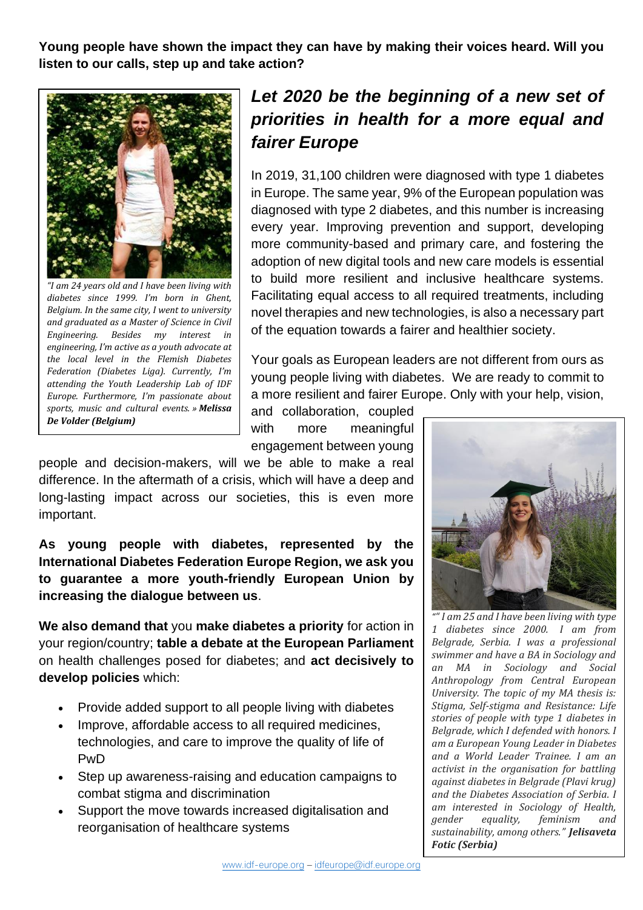**Young people have shown the impact they can have by making their voices heard. Will you listen to our calls, step up and take action?**



*"I am 24 years old and I have been living with diabetes since 1999. I'm born in Ghent, Belgium. In the same city, I went to university and graduated as a Master of Science in Civil Engineering. Besides my interest in engineering, I'm active as a youth advocate at the local level in the Flemish Diabetes Federation (Diabetes Liga). Currently, I'm attending the Youth Leadership Lab of IDF Europe. Furthermore, I'm passionate about sports, music and cultural events. » Melissa De Volder (Belgium)*

## *Let 2020 be the beginning of a new set of priorities in health for a more equal and fairer Europe*

In 2019, 31,100 children were diagnosed with type 1 diabetes in Europe. The same year, 9% of the European population was diagnosed with type 2 diabetes, and this number is increasing every year. Improving prevention and support, developing more community-based and primary care, and fostering the adoption of new digital tools and new care models is essential to build more resilient and inclusive healthcare systems. Facilitating equal access to all required treatments, including novel therapies and new technologies, is also a necessary part of the equation towards a fairer and healthier society.

Your goals as European leaders are not different from ours as young people living with diabetes. We are ready to commit to a more resilient and fairer Europe. Only with your help, vision,

and collaboration, coupled with more meaningful engagement between young

people and decision-makers, will we be able to make a real difference. In the aftermath of a crisis, which will have a deep and long-lasting impact across our societies, this is even more important.

**As young people with diabetes, represented by the International Diabetes Federation Europe Region, we ask you to guarantee a more youth-friendly European Union by increasing the dialogue between us**.

**We also demand that** you **make diabetes a priority** for action in your region/country; **table a debate at the European Parliament**  on health challenges posed for diabetes; and **act decisively to develop policies** which:

- Provide added support to all people living with diabetes
- Improve, affordable access to all required medicines, technologies, and care to improve the quality of life of PwD
- Step up awareness-raising and education campaigns to combat stigma and discrimination
- Support the move towards increased digitalisation and reorganisation of healthcare systems



*"" I am 25 and I have been living with type 1 diabetes since 2000. I am from Belgrade, Serbia. I was a professional swimmer and have a BA in Sociology and an MA in Sociology and Social Anthropology from Central European University. The topic of my MA thesis is: Stigma, Self-stigma and Resistance: Life stories of people with type 1 diabetes in Belgrade, which I defended with honors. I am a European Young Leader in Diabetes and a World Leader Trainee. I am an activist in the organisation for battling against diabetes in Belgrade (Plavi krug) and the Diabetes Association of Serbia. I am interested in Sociology of Health, gender equality, feminism and sustainability, among others." Jelisaveta Fotic (Serbia)*